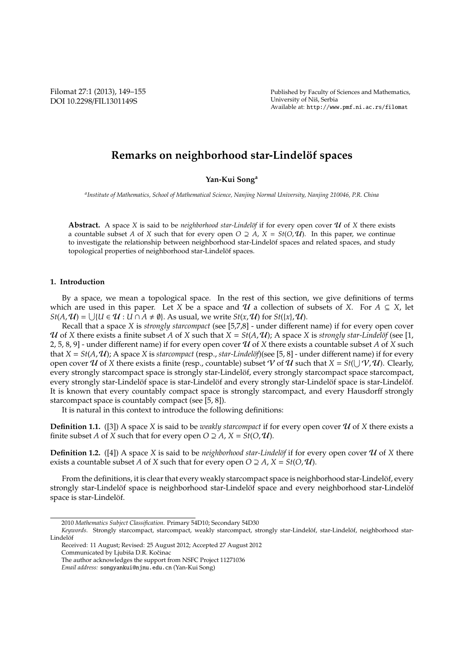Filomat 27:1 (2013), 149–155 DOI 10.2298/FIL1301149S

Published by Faculty of Sciences and Mathematics, University of Niš, Serbia Available at: http://www.pmf.ni.ac.rs/filomat

# **Remarks on neighborhood star-Lindelöf spaces**

# **Yan-Kui Song<sup>a</sup>**

*a Institute of Mathematics, School of Mathematical Science, Nanjing Normal University, Nanjing 210046, P.R. China*

**Abstract.** A space *X* is said to be *neighborhood star-Lindelöf* if for every open cover  $U$  of *X* there exists a countable subset *A* of *X* such that for every open  $O \supseteq A$ ,  $X = St(O, U)$ . In this paper, we continue to investigate the relationship between neighborhood star-Lindelöf spaces and related spaces, and study topological properties of neighborhood star-Lindelöf spaces.

## **1. Introduction**

By a space, we mean a topological space. In the rest of this section, we give definitions of terms which are used in this paper. Let *X* be a space and  $U$  a collection of subsets of *X*. For  $A \subseteq X$ , let *St*(*A*,  $\mathcal{U}$ ) =  $\bigcup \{U \in \mathcal{U} : U \cap A \neq \emptyset\}$ . As usual, we write *St*(*x*,  $\mathcal{U}$ ) for *St*({*x*},  $\mathcal{U}$ ).

Recall that a space *X* is *strongly starcompact* (see [5,7,8] - under different name) if for every open cover U of *X* there exists a finite subset A of X such that  $X = St(A, U)$ ; A space X is *strongly star-Lindelöf* (see [1, 2, 5, 8, 9] - under different name) if for every open cover  $U$  of  $X$  there exists a countable subset  $A$  of  $X$  such that  $X = St(A, U)$ ; A space *X* is *starcompact* (resp., *star-Lindelöf*)(see [5, 8] - under different name) if for every open cover  $U$  of  $X$  there exists a finite (resp., countable) subset  $V$  of  $U$  such that  $X = St(\bigcup V, U)$ . Clearly, every strongly starcompact space is strongly star-Lindelöf, every strongly starcompact space starcompact, every strongly star-Lindelöf space is star-Lindelöf and every strongly star-Lindelöf space is star-Lindelöf. It is known that every countably compact space is strongly starcompact, and every Hausdorff strongly starcompact space is countably compact (see [5, 8]).

It is natural in this context to introduce the following definitions:

**Definition 1.1.** ([3]) A space *X* is said to be *weakly starcompact* if for every open cover  $U$  of *X* there exists a finite subset *A* of *X* such that for every open  $O \supseteq A$ ,  $X = St(O, U)$ .

**Definition 1.2.** ([4]) A space *X* is said to be *neighborhood star-Lindelöf* if for every open cover  $U$  of *X* there exists a countable subset *A* of *X* such that for every open  $O \supseteq A$ ,  $X = St(O, U)$ .

From the definitions, it is clear that every weakly starcompact space is neighborhood star-Lindelöf, every strongly star-Lindelöf space is neighborhood star-Lindelöf space and every neighborhood star-Lindelöf space is star-Lindelöf.

<sup>2010</sup> *Mathematics Subject Classification*. Primary 54D10; Secondary 54D30

Keywords. Strongly starcompact, starcompact, weakly starcompact, strongly star-Lindelöf, star-Lindelöf, neighborhood star-Lindelöf

Received: 11 August; Revised: 25 August 2012; Accepted 27 August 2012 Communicated by Ljubiša D.R. Kočinac

The author acknowledges the support from NSFC Project 11271036

*Email address:* songyankui@njnu.edu.cn (Yan-Kui Song)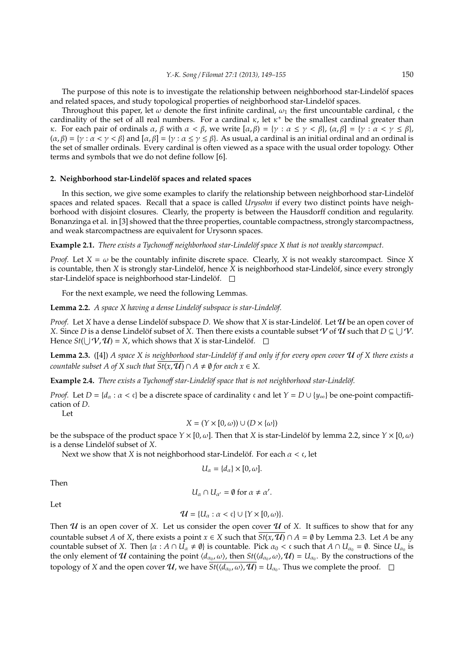The purpose of this note is to investigate the relationship between neighborhood star-Lindelöf spaces and related spaces, and study topological properties of neighborhood star-Lindelöf spaces.

Throughout this paper, let  $\omega$  denote the first infinite cardinal,  $\omega_1$  the first uncountable cardinal, c the cardinality of the set of all real numbers. For a cardinal  $\kappa$ , let  $\kappa^+$  be the smallest cardinal greater than κ. For each pair of ordinals  $\alpha$ ,  $\beta$  with  $\alpha < \beta$ , we write  $[\alpha, \beta] = {\gamma : \alpha \leq \gamma < \beta}$ ,  $(\alpha, \beta] = {\gamma : \alpha < \gamma \leq \beta}$ ,  $(\alpha, \beta) = \{ \gamma : \alpha < \gamma < \beta \}$  and  $[\alpha, \beta] = \{ \gamma : \alpha \leq \gamma \leq \beta \}$ . As usual, a cardinal is an initial ordinal and an ordinal is the set of smaller ordinals. Every cardinal is often viewed as a space with the usual order topology. Other terms and symbols that we do not define follow [6].

# 2. Neighborhood star-Lindelöf spaces and related spaces

In this section, we give some examples to clarify the relationship between neighborhood star-Lindelöf spaces and related spaces. Recall that a space is called *Urysohn* if every two distinct points have neighborhood with disjoint closures. Clearly, the property is between the Hausdorff condition and regularity. Bonanzinga et al. in [3] showed that the three properties, countable compactness, strongly starcompactness, and weak starcompactness are equivalent for Urysonn spaces.

**Example 2.1.** *There exists a Tychonoff neighborhood star-Lindelöf space X that is not weakly starcompact.* 

*Proof.* Let  $X = \omega$  be the countably infinite discrete space. Clearly, X is not weakly starcompact. Since X is countable, then  $X$  is strongly star-Lindelöf, hence  $X$  is neighborhood star-Lindelöf, since every strongly star-Lindelöf space is neighborhood star-Lindelöf.  $\square$ 

For the next example, we need the following Lemmas.

Lemma 2.2. *A space X having a dense Lindelöf subspace is star-Lindelöf.* 

*Proof.* Let *X* have a dense Lindelöf subspace *D*. We show that *X* is star-Lindelöf. Let  $U$  be an open cover of *X*. Since *D* is a dense Lindelöf subset of *X*. Then there exists a countable subset *V* of *U* such that  $D \subseteq \bigcup V$ . Hence  $St(\bigcup V, U) = X$ , which shows that *X* is star-Lindelöf.

**Lemma 2.3.** ([4]) *A space X is neighborhood star-Lindelöf if and only if for every open cover* **U** of *X there exists a countable subset A of X such that*  $\overline{St(x, \mathcal{U})} \cap A \neq \emptyset$  *for each*  $x \in X$ .

**Example 2.4.** *There exists a Tychonoff star-Lindelöf space that is not neighborhood star-Lindelöf.* 

*Proof.* Let *D* = { $d_a$  :  $\alpha$  < c} be a discrete space of cardinality c and let  $Y = D \cup \{y_\infty\}$  be one-point compactification of *D*.

Let

$$
X = (Y \times [0, \omega)) \cup (D \times \{\omega\})
$$

be the subspace of the product space  $Y \times [0, \omega]$ . Then that *X* is star-Lindelöf by lemma 2.2, since  $Y \times [0, \omega)$ is a dense Lindelöf subset of *X*.

Next we show that *X* is not neighborhood star-Lindelöf. For each  $\alpha < \mathfrak{c}$ , let

$$
U_{\alpha} = \{d_{\alpha}\} \times [0, \omega].
$$

Then

$$
U_{\alpha} \cap U_{\alpha'} = \emptyset \text{ for } \alpha \neq \alpha'.
$$

Let

$$
\mathcal{U} = \{U_{\alpha} : \alpha < \mathfrak{c}\} \cup \{Y \times [0, \omega)\}.
$$

Then  $U$  is an open cover of X. Let us consider the open cover  $U$  of X. It suffices to show that for any countable subset *A* of *X*, there exists a point  $x \in X$  such that  $\overline{St(x, U)} \cap A = \emptyset$  by Lemma 2.3. Let *A* be any countable subset of *X*. Then  $\{\alpha : A \cap U_{\alpha} \neq \emptyset\}$  is countable. Pick  $\alpha_0 < \mathfrak{c}$  such that  $A \cap U_{\alpha_0} = \emptyset$ . Since  $U_{\alpha_0}$  is the only element of U containing the point  $\langle d_{\alpha_0}, \omega \rangle$ , then  $St(\langle d_{\alpha_0}, \omega \rangle, \mathcal{U}) = U_{\alpha_0}$ . By the constructions of the topology of *X* and the open cover  $U$ , we have  $St(\langle d_{\alpha_0}, \omega \rangle, U) = U_{\alpha_0}$ . Thus we complete the proof.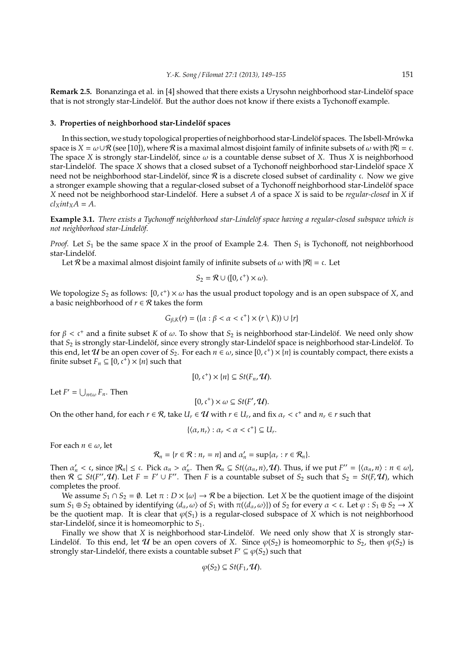**Remark 2.5.** Bonanzinga et al. in [4] showed that there exists a Urysohn neighborhood star-Lindelöf space that is not strongly star-Lindelöf. But the author does not know if there exists a Tychonoff example.

# 3. Properties of neighborhood star-Lindelöf spaces

In this section, we study topological properties of neighborhood star-Lindelöf spaces. The Isbell-Mrówka space is  $X = \omega \cup \mathcal{R}$  (see [10]), where  $\mathcal{R}$  is a maximal almost disjoint family of infinite subsets of  $\omega$  with  $|\mathcal{R}| = c$ . The space *X* is strongly star-Lindelöf, since  $\omega$  is a countable dense subset of *X*. Thus *X* is neighborhood star-Lindelöf. The space *X* shows that a closed subset of a Tychonoff neighborhood star-Lindelöf space *X* need not be neighborhood star-Lindelöf, since  $\mathcal R$  is a discrete closed subset of cardinality c. Now we give a stronger example showing that a regular-closed subset of a Tychonoff neighborhood star-Lindelöf space *X* need not be neighborhood star-Lindelöf. Here a subset *A* of a space *X* is said to be *regular-closed* in *X* if  $cl_{\rm X}$ *int*<sub> ${\rm X}$ </sub>*A* = *A*.

**Example 3.1.** *There exists a Tychonoff neighborhood star-Lindelöf space having a regular-closed subspace which is not neighborhood star-Lindel¨of.*

*Proof.* Let  $S_1$  be the same space *X* in the proof of Example 2.4. Then  $S_1$  is Tychonoff, not neighborhood star-Lindelöf.

Let R be a maximal almost disjoint family of infinite subsets of  $\omega$  with  $|R| = c$ . Let

$$
S_2 = \mathcal{R} \cup ([0, \mathfrak{c}^+) \times \omega).
$$

We topologize  $S_2$  as follows:  $[0, c^+) \times \omega$  has the usual product topology and is an open subspace of *X*, and a basic neighborhood of  $r \in \mathcal{R}$  takes the form

$$
G_{\beta,K}(r) = (\{\alpha : \beta < \alpha < \mathfrak{c}^+\} \times (r \setminus K)) \cup \{r\}
$$

for  $β <$  c<sup>+</sup> and a finite subset *K* of  $ω$ . To show that  $S_2$  is neighborhood star-Lindelöf. We need only show that  $S_2$  is strongly star-Lindelöf, since every strongly star-Lindelöf space is neighborhood star-Lindelöf. To this end, let  $U$  be an open cover of  $S_2$ . For each  $n \in \omega$ , since  $[0, c^+) \times \{n\}$  is countably compact, there exists a finite subset  $F_n \subseteq [0, c^+) \times \{n\}$  such that

$$
[0,\mathfrak{c}^+) \times \{n\} \subseteq St(F_n,\mathcal{U}).
$$

Let  $F' = \bigcup_{n \in \omega} F_n$ . Then

$$
[0,\mathfrak{c}^+) \times \omega \subseteq St(F',\mathcal{U}).
$$

On the other hand, for each  $r \in \mathcal{R}$ , take  $U_r \in \mathcal{U}$  with  $r \in U_r$ , and fix  $\alpha_r < \mathfrak{c}^+$  and  $n_r \in r$  such that

$$
\{\langle \alpha, n_r \rangle : \alpha_r < \alpha < \mathfrak{c}^+\} \subseteq U_r.
$$

For each  $n \in \omega$ , let

$$
\mathcal{R}_n = \{r \in \mathcal{R} : n_r = n\} \text{ and } \alpha'_n = \sup\{\alpha_r : r \in \mathcal{R}_n\}.
$$

Then  $\alpha'_n < \mathfrak{c}$ , since  $|\mathcal{R}_n| \leq \mathfrak{c}$ . Pick  $\alpha_n > \alpha'_n$ . Then  $\mathcal{R}_n \subseteq St(\langle \alpha_n, n \rangle, \mathcal{U})$ . Thus, if we put  $F'' = {\langle \alpha_n, n \rangle : n \in \omega}$ , then  $\mathcal{R} \subseteq St(F',\mathcal{U})$ . Let  $F = F' \cup F''$ . Then *F* is a countable subset of  $S_2$  such that  $S_2 = St(F,\mathcal{U})$ , which completes the proof.

We assume  $S_1 \cap S_2 = \emptyset$ . Let  $\pi : D \times \{\omega\} \to \mathcal{R}$  be a bijection. Let *X* be the quotient image of the disjoint sum  $S_1 \oplus S_2$  obtained by identifying  $\langle d_\alpha, \omega \rangle$  of  $S_1$  with  $\pi(\langle d_\alpha, \omega \rangle)$  of  $S_2$  for every  $\alpha < \mathfrak{c}$ . Let  $\varphi : S_1 \oplus S_2 \to X$ be the quotient map. It is clear that  $\varphi(S_1)$  is a regular-closed subspace of *X* which is not neighborhood star-Lindelöf, since it is homeomorphic to  $S_1$ .

Finally we show that  $X$  is neighborhood star-Lindelöf. We need only show that  $X$  is strongly star-Lindelöf. To this end, let  $U$  be an open covers of *X*. Since  $\varphi(S_2)$  is homeomorphic to  $S_2$ , then  $\varphi(S_2)$  is strongly star-Lindelóf, there exists a countable subset  $F' \subseteq \varphi(S_2)$  such that

$$
\varphi(S_2) \subseteq St(F_1, \mathcal{U}).
$$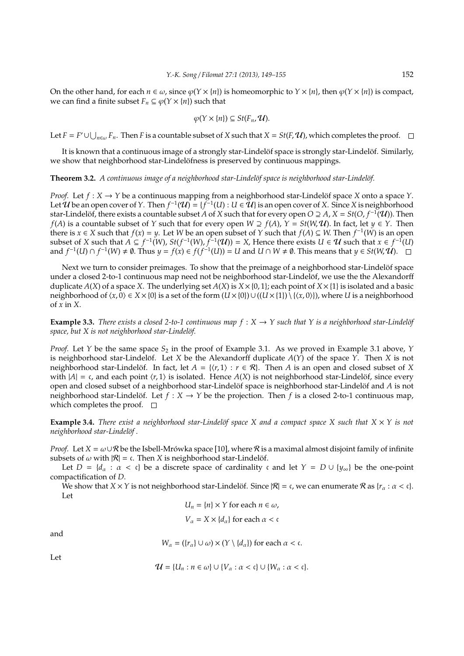On the other hand, for each  $n \in \omega$ , since  $\varphi(Y \times \{n\})$  is homeomorphic to  $Y \times \{n\}$ , then  $\varphi(Y \times \{n\})$  is compact, we can find a finite subset  $F_n \subseteq \varphi(Y \times \{n\})$  such that

$$
\varphi(Y\times\{n\})\subseteq St(F_n,\mathcal{U}).
$$

Let  $F = F' \cup \bigcup_{n \in \omega} F_n$ . Then *F* is a countable subset of *X* such that  $X = St(F, U)$ , which completes the proof.

It is known that a continuous image of a strongly star-Lindelöf space is strongly star-Lindelöf. Similarly, we show that neighborhood star-Lindelöfness is preserved by continuous mappings.

#### **Theorem 3.2.** *A continuous image of a neighborhood star-Lindelöf space is neighborhood star-Lindelöf.*

*Proof.* Let  $f: X \to Y$  be a continuous mapping from a neighborhood star-Lindelöf space X onto a space Y. Let  $\mathcal U$  be an open cover of  $Y$ . Then  $f^{-1}(\mathcal U) = \{f^{-1}(U): U\in \tilde{\mathcal U}\}$  is an open cover of  $X$ . Since  $X$  is neighborhood star-Lindelöf, there exists a countable subset *A* of *X* such that for every open *O* ⊇ *A*, *X* = *St*(*O, f*<sup>-1</sup>(U)). Then *f*(*A*) is a countable subset of *Y* such that for every open *W* ⊇ *f*(*A*), *Y* = *St*(*W*, **U**). In fact, let *y* ∈ *Y*. Then there is *x* ∈ *X* such that *f*(*x*) = *y*. Let *W* be an open subset of *Y* such that *f*(*A*) ⊆ *W*. Then *f*<sup>-1</sup>(*W*) is an open subset of *X* such that  $A \subseteq f^{-1}(W)$ ,  $St(f^{-1}(W), f^{-1}(U)) = X$ , Hence there exists  $U \in U$  such that  $x \in f^{-1}(U)$ and  $f^{-1}(U) \cap f^{-1}(W) \neq \emptyset$ . Thus  $y = f(x) \in f(f^{-1}(U)) = U$  and  $U \cap W \neq \emptyset$ . This means that  $y \in St(W, U)$ .

Next we turn to consider preimages. To show that the preimage of a neighborhood star-Lindelöf space under a closed 2-to-1 continuous map need not be neighborhood star-Lindelöf, we use the the Alexandorff duplicate  $A(X)$  of a space X. The underlying set  $A(X)$  is  $X \times \{0,1\}$ ; each point of  $X \times \{1\}$  is isolated and a basic neighborhood of  $\langle x, 0 \rangle \in X \times \{0\}$  is a set of the form  $(U \times \{0\}) \cup ((U \times \{1\}) \setminus \{\langle x, 0 \rangle\})$ , where *U* is a neighborhood of *x* in *X*.

**Example 3.3.** *There exists a closed 2-to-1 continuous map*  $f : X \to Y$  *such that*  $Y$  *is a neighborhood star-Lindelöf* space, but *X* is not neighborhood star-Lindelöf.

*Proof.* Let *Y* be the same space  $S_2$  in the proof of Example 3.1. As we proved in Example 3.1 above, *Y* is neighborhood star-Lindelöf. Let  $X$  be the Alexandorff duplicate  $A(Y)$  of the space  $Y$ . Then  $X$  is not neighborhood star-Lindelöf. In fact, let  $A = \{(r, 1) : r \in \mathcal{R}\}\)$ . Then A is an open and closed subset of X with  $|A| = c$ , and each point  $\langle r, 1 \rangle$  is isolated. Hence  $A(X)$  is not neighborhood star-Lindelöf, since every open and closed subset of a neighborhood star-Lindelöf space is neighborhood star-Lindelöf and A is not neighborhood star-Lindelöf. Let  $f : X \to Y$  be the projection. Then f is a closed 2-to-1 continuous map, which completes the proof.  $\square$ 

**Example 3.4.** *There exist a neighborhood star-Lindelöf space X and a compact space X such that*  $X \times Y$  *is not neighborhood star-Lindelöf.* 

*Proof.* Let  $X = \omega \cup \mathcal{R}$  be the Isbell-Mrówka space [10], where  $\mathcal{R}$  is a maximal almost disjoint family of infinite subsets of  $\omega$  with  $|R| = c$ . Then *X* is neighborhood star-Lindelöf.

Let  $D = \{d_{\alpha} : \alpha < c\}$  be a discrete space of cardinality c and let  $Y = D \cup \{y_{\infty}\}\$  be the one-point compactification of *D*.

We show that *X* × *Y* is not neighborhood star-Lindelöf. Since  $|R| = \mathfrak{c}$ , we can enumerate  $R$  as  $\{r_\alpha : \alpha < \mathfrak{c}\}.$ Let

$$
U_n = \{n\} \times Y \text{ for each } n \in \omega,
$$
  

$$
V_\alpha = X \times \{d_\alpha\} \text{ for each } \alpha < \epsilon
$$

and

$$
W_{\alpha} = (\{r_{\alpha}\} \cup \omega) \times (Y \setminus \{d_{\alpha}\}) \text{ for each } \alpha < \mathfrak{c}.
$$

Let

$$
\mathcal{U} = \{U_n : n \in \omega\} \cup \{V_\alpha : \alpha < \mathfrak{c}\} \cup \{W_\alpha : \alpha < \mathfrak{c}\}.
$$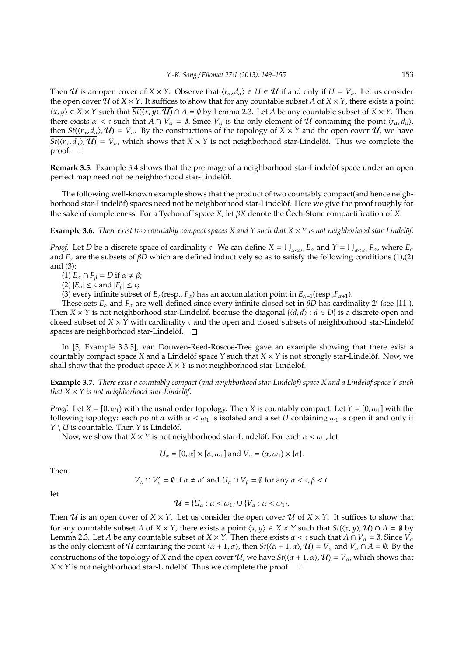Then U is an open cover of  $X \times Y$ . Observe that  $\langle r_{\alpha}, d_{\alpha} \rangle \in U \in U$  if and only if  $U = V_{\alpha}$ . Let us consider the open cover  $\hat{U}$  of  $X \times Y$ . It suffices to show that for any countable subset *A* of  $X \times Y$ , there exists a point  $\langle x, y \rangle$  ∈ *X* × *Y* such that  $\overline{St(\langle x, y \rangle, \mathcal{U})}$  ∩ *A* = Ø by Lemma 2.3. Let *A* be any countable subset of *X* × *Y*. Then there exists  $\alpha < \mathfrak{c}$  such that  $A \cap V_{\alpha} = \emptyset$ . Since  $V_{\alpha}$  is the only element of  $\mathcal U$  containing the point  $\langle r_{\alpha}, d_{\alpha} \rangle$ , then  $St(\langle r_\alpha, d_\alpha \rangle, \mathcal{U}) = V_\alpha$ . By the constructions of the topology of  $X \times Y$  and the open cover  $\mathcal{U}$ , we have  $St(\langle r_\alpha, d_\alpha \rangle, \mathcal{U}) = V_\alpha$ , which shows that  $X \times Y$  is not neighborhood star-Lindelöf. Thus we complete the proof.  $\square$ 

**Remark 3.5.** Example 3.4 shows that the preimage of a neighborhood star-Lindelöf space under an open perfect map need not be neighborhood star-Lindelöf.

The following well-known example shows that the product of two countably compact(and hence neighborhood star-Lindelöf) spaces need not be neighborhood star-Lindelöf. Here we give the proof roughly for the sake of completeness. For a Tychonoff space *X*, let  $\beta X$  denote the Cech-Stone compactification of *X*.

**Example 3.6.** *There exist two countably compact spaces X and Y such that*  $X \times Y$  *is not neighborhood star-Lindelöf.* 

*Proof.* Let *D* be a discrete space of cardinality c. We can define  $X = \bigcup_{\alpha < \omega_1} E_\alpha$  and  $Y = \bigcup_{\alpha < \omega_1} F_\alpha$ , where  $E_\alpha$ and  $F_\alpha$  are the subsets of  $\beta \overline{D}$  which are defined inductively so as to satisfy the following conditions (1),(2) and (3):

(1)  $E_{\alpha} \cap F_{\beta} = D$  if  $\alpha \neq \beta$ ;

(2)  $|E_\alpha| \leq \mathfrak{c}$  and  $|F_\beta| \leq \mathfrak{c}$ ;

(3) every infinite subset of  $E_\alpha$ (resp.,  $F_\alpha$ ) has an accumulation point in  $E_{\alpha+1}$ (resp.,  $F_{\alpha+1}$ ).

These sets  $E_\alpha$  and  $F_\alpha$  are well-defined since every infinite closed set in  $\beta D$  has cardinality 2<sup>c</sup> (see [11]). Then *X* × *Y* is not neighborhood star-Lindelöf, because the diagonal  $\{(d, d) : d \in D\}$  is a discrete open and closed subset of  $X \times Y$  with cardinality c and the open and closed subsets of neighborhood star-Lindelöf spaces are neighborhood star-Lindelöf.  $\square$ 

In [5, Example 3.3.3], van Douwen-Reed-Roscoe-Tree gave an example showing that there exist a countably compact space *X* and a Lindelöf space *Y* such that  $X \times Y$  is not strongly star-Lindelöf. Now, we shall show that the product space  $X \times Y$  is not neighborhood star-Lindelöf.

**Example 3.7.** *There exist a countably compact (and neighborhood star-Lindelöf) space X and a Lindelöf space Y such that*  $X \times Y$  *is not neighborhood star-Lindelöf.* 

*Proof.* Let  $X = [0, \omega_1)$  with the usual order topology. Then *X* is countably compact. Let  $Y = [0, \omega_1]$  with the following topology: each point  $\alpha$  with  $\alpha < \omega_1$  is isolated and a set *U* containing  $\omega_1$  is open if and only if  $Y \setminus U$  is countable. Then *Y* is Lindelöf.

Now, we show that  $X \times Y$  is not neighborhood star-Lindelöf. For each  $\alpha < \omega_1$ , let

$$
U_{\alpha} = [0, \alpha] \times [\alpha, \omega_1] \text{ and } V_{\alpha} = (\alpha, \omega_1) \times \{\alpha\}.
$$

Then

$$
V_{\alpha} \cap V'_{\alpha} = \emptyset \text{ if } \alpha \neq \alpha' \text{ and } U_{\alpha} \cap V_{\beta} = \emptyset \text{ for any } \alpha < \mathfrak{c}, \beta < \mathfrak{c}.
$$

let

$$
\mathcal{U} = \{U_{\alpha} : \alpha < \omega_1\} \cup \{V_{\alpha} : \alpha < \omega_1\}.
$$

Then U is an open cover of  $X \times Y$ . Let us consider the open cover U of  $X \times Y$ . It suffices to show that for any countable subset *A* of *X* × *Y*, there exists a point  $\langle x, y \rangle \in X \times Y$  such that  $\overline{St(\langle x, y \rangle, \mathcal{U})} \cap A = \emptyset$  by Lemma 2.3. Let *A* be any countable subset of *X* × *Y*. Then there exists  $\alpha < c$  such that  $A \cap V_\alpha = \emptyset$ . Since  $V_\alpha$ is the only element of U containing the point  $\langle \alpha + 1, \alpha \rangle$ , then  $St(\langle \alpha + 1, \alpha \rangle, \mathcal{U}) = V_\alpha$  and  $V_\alpha \cap A = \emptyset$ . By the constructions of the topology of *X* and the open cover  $\mathcal{U}$ , we have  $St(\langle \alpha + 1, \alpha \rangle, \mathcal{U}) = V_\alpha$ , which shows that  $X \times Y$  is not neighborhood star-Lindelöf. Thus we complete the proof.  $\square$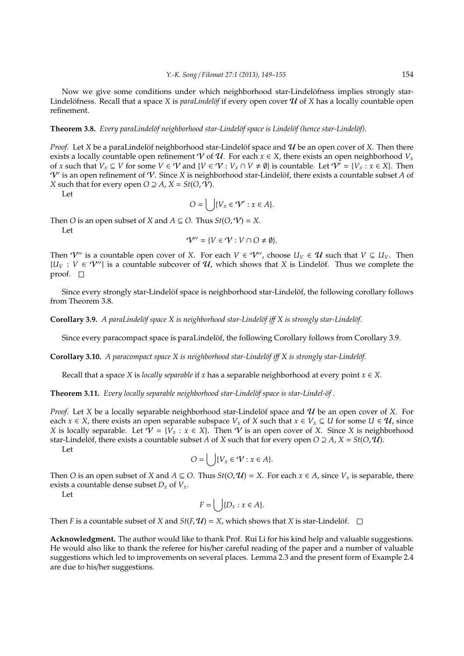Now we give some conditions under which neighborhood star-Lindelöfness implies strongly star-Lindelöfness. Recall that a space X is *paraLindelöf* if every open cover  $\mathcal U$  of X has a locally countable open refinement.

#### **Theorem 3.8.** *Every paraLindelöf neighborhood star-Lindelöf space is Lindelöf (hence star-Lindelöf).*

*Proof.* Let *X* be a paraLindelöf neighborhood star-Lindelöf space and  $U$  be an open cover of *X*. Then there exists a locally countable open refinement V of U. For each  $x \in X$ , there exists an open neighborhood  $V_x$ of *x* such that  $V_x \subseteq V$  for some  $V \in V$  and  $\{V \in V : V_x \cap V \neq \emptyset\}$  is countable. Let  $V' = \{V_x : x \in X\}$ . Then  $V'$  is an open refinement of  $V$ . Since X is neighborhood star-Lindelöf, there exists a countable subset A of *X* such that for every open  $O \supseteq A$ ,  $X = St(O, V)$ .

Let

$$
O = \bigcup \{V_x \in \mathcal{V}' : x \in A\}.
$$

Then *O* is an open subset of *X* and  $A \subseteq O$ . Thus  $St(O, V) = X$ . Let

$$
\mathcal{V}'' = \{ V \in \mathcal{V} : V \cap O \neq \emptyset \}.
$$

Then  $\mathcal{V}''$  is a countable open cover of X. For each  $V \in \mathcal{V}''$ , choose  $U_V \in \mathcal{U}$  such that  $V \subseteq U_V$ . Then  ${U_V : V \in V''}$  is a countable subcover of  $U$ , which shows that *X* is Lindelöf. Thus we complete the proof.  $\square$ 

Since every strongly star-Lindelöf space is neighborhood star-Lindelöf, the following corollary follows from Theorem 3.8.

**Corollary 3.9.** *A paraLindelöf space X is neighborhood star-Lindelöf iff X is strongly star-Lindelöf.* 

Since every paracompact space is paraLindelof, the following Corollary follows from Corollary 3.9.

**Corollary 3.10.** *A paracompact space X is neighborhood star-Lindel¨of i*ff *X is strongly star-Lindel¨of.*

Recall that a space *X* is *locally separable* if *x* has a separable neighborhood at every point  $x \in X$ .

**Theorem 3.11.** *Every locally separable neighborhood star-Lindelöf space is star-Lindel-of.* 

*Proof.* Let *X* be a locally separable neighborhood star-Lindelöf space and  $U$  be an open cover of *X*. For each  $x \in X$ , there exists an open separable subspace  $V_x$  of X such that  $x \in V_x \subseteq U$  for some  $U \in \mathcal{U}$ , since *X* is locally separable. Let  $V = \{V_x : x \in X\}$ . Then V is an open cover of *X*. Since *X* is neighborhood star-Lindelöf, there exists a countable subset *A* of *X* such that for every open  $O \supseteq A$ ,  $X = St(O, \mathcal{U})$ .

Let

$$
O = \bigcup \{ V_x \in \mathcal{V} : x \in A \}.
$$

Then *O* is an open subset of *X* and  $A \subseteq O$ . Thus  $St(O, U) = X$ . For each  $x \in A$ , since  $V_x$  is separable, there exists a countable dense subset  $D_x$  of  $V_x$ .

Let

$$
F = \left( \quad \left| \{ D_x : x \in A \} \right. \right)
$$

Then *F* is a countable subset of *X* and *St*(*F*,  $U$ ) = *X*, which shows that *X* is star-Lindelöf.  $\square$ 

**Acknowledgment.** The author would like to thank Prof. Rui Li for his kind help and valuable suggestions. He would also like to thank the referee for his/her careful reading of the paper and a number of valuable suggestions which led to improvements on several places. Lemma 2.3 and the present form of Example 2.4 are due to his/her suggestions.